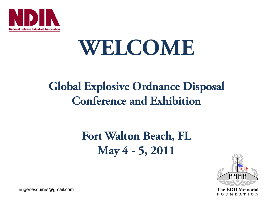

# **WELCOME**

# **Global Explosive Ordnance Disposal Conference and Exhibition**

# **Fort Walton Beach, FL May 4 - 5, 2011**



The EOD Memorial **FOUNDATION** 

eugenesquires@gmail.com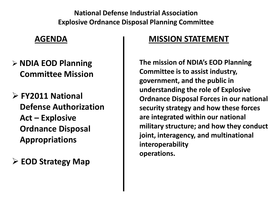**National Defense Industrial Association Explosive Ordnance Disposal Planning Committee**

#### **AGENDA**

- **NDIA EOD Planning Committee Mission**
- **FY2011 National Defense Authorization Act – Explosive Ordnance Disposal Appropriations**
- **EOD Strategy Map**

#### **MISSION STATEMENT**

**The mission of NDIA's EOD Planning Committee is to assist industry, government, and the public in understanding the role of Explosive Ordnance Disposal Forces in our national security strategy and how these forces are integrated within our national military structure; and how they conduct joint, interagency, and multinational interoperability operations.**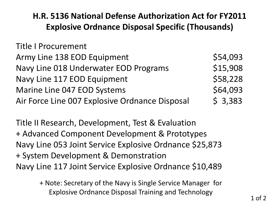### **H.R. 5136 National Defense Authorization Act for FY2011 Explosive Ordnance Disposal Specific (Thousands)**

| <b>Title I Procurement</b>                     |          |
|------------------------------------------------|----------|
| Army Line 138 EOD Equipment                    | \$54,093 |
| Navy Line 018 Underwater EOD Programs          | \$15,908 |
| Navy Line 117 EOD Equipment                    | \$58,228 |
| Marine Line 047 EOD Systems                    | \$64,093 |
| Air Force Line 007 Explosive Ordnance Disposal | \$3,383  |

Title II Research, Development, Test & Evaluation + Advanced Component Development & Prototypes Navy Line 053 Joint Service Explosive Ordnance \$25,873 + System Development & Demonstration Navy Line 117 Joint Service Explosive Ordnance \$10,489

> + Note: Secretary of the Navy is Single Service Manager for Explosive Ordnance Disposal Training and Technology 1 of 2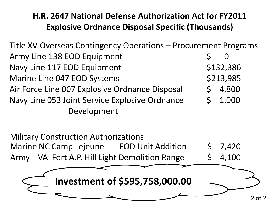## **H.R. 2647 National Defense Authorization Act for FY2011 Explosive Ordnance Disposal Specific (Thousands)**

Title XV Overseas Contingency Operations – Procurement Programs Army Line 138 EOD Equipment  $\begin{array}{cccc} \xi & -0 \\ -1 & -1 \end{array}$ Navy Line 117 EOD Equipment \$132,386 Marine Line 047 EOD Systems **1998 1213,985** Air Force Line 007 Explosive Ordnance Disposal  $\begin{bmatrix} 5 & 4,800 \end{bmatrix}$ Navy Line 053 Joint Service Explosive Ordnance  $\begin{array}{cccc} 5 & 1,000 \end{array}$ Development